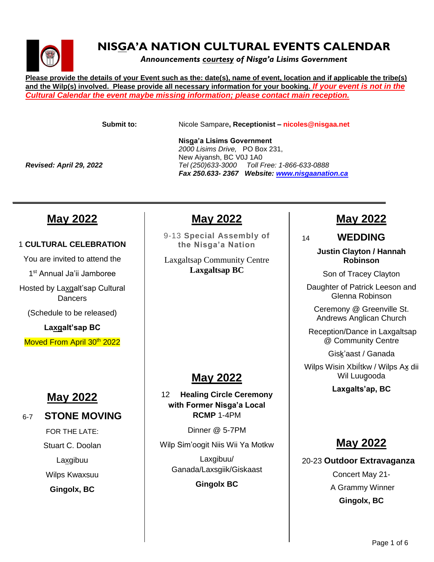

### **NISGA'A NATION CULTURAL EVENTS CALENDAR**

*Announcements courtesy of Nisga'a Lisims Government*

**Please provide the details of your Event such as the: date(s), name of event, location and if applicable the tribe(s) and the Wilp(s) involved. Please provide all necessary information for your booking.** *If your event is not in the Cultural Calendar the event maybe missing information; please contact main reception.*

**Submit to:** Nicole Sampare**, Receptionist – nicoles@nisgaa.net**

 **Nisga'a Lisims Government** *2000 Lisims Drive,* PO Box 231, New Aiyansh, BC V0J 1A0 *Revised: April 29, 2022 Tel (250)633-3000 Toll Free: 1-866-633-0888 Fax 250.633- 2367 Website: [www.nisgaanation.ca](http://www.nisgaanation.ca/)*

### **May 2022**

#### 1 **CULTURAL CELEBRATION**

You are invited to attend the 1 st Annual Ja'ii Jamboree Hosted by Laxgalt'sap Cultural **Dancers** (Schedule to be released)

**Laxgalt'sap BC**

Moved From April 30<sup>th</sup> 2022

### **May 2022**

#### 6-7 **STONE MOVING**

FOR THE LATE: Stuart C. Doolan Laxgibuu Wilps Kwaxsuu **Gingolx, BC**

### **May 2022**

*\_\_\_\_\_\_\_\_\_\_\_\_\_\_\_\_\_\_\_\_\_\_\_\_\_\_\_\_\_\_\_\_\_\_\_\_\_\_\_\_\_\_\_\_\_\_\_\_\_\_\_\_\_\_\_\_\_\_\_\_\_\_\_\_\_\_\_\_\_\_\_\_\_\_\_\_\_\_\_\_\_\_\_\_\_\_* 

9-13 **Special Assembly of the Nisga'a Nation**

Laxgaltsap Community Centre **Laxgaltsap BC**

### **May 2022**

12 **Healing Circle Ceremony with Former Nisga'a Local RCMP** 1-4PM

Dinner @ 5-7PM

Wilp Sim'oogit Niis Wii Ya Motkw

Laxgibuu/ Ganada/Laxsgiik/Giskaast

**Gingolx BC**

### **May 2022**

14 **WEDDING**

#### **Justin Clayton / Hannah Robinson**

Son of Tracey Clayton

Daughter of Patrick Leeson and Glenna Robinson

Ceremony @ Greenville St. Andrews Anglican Church

Reception/Dance in Laxgaltsap @ Community Centre

Gisḵ'aast / Ganada

Wilps Wisin Xbiltkw / Wilps Ax dii Wil Luuqooda

**Laxgalts'ap, BC**

### **May 2022**

20-23 **Outdoor Extravaganza** Concert May 21- A Grammy Winner **Gingolx, BC**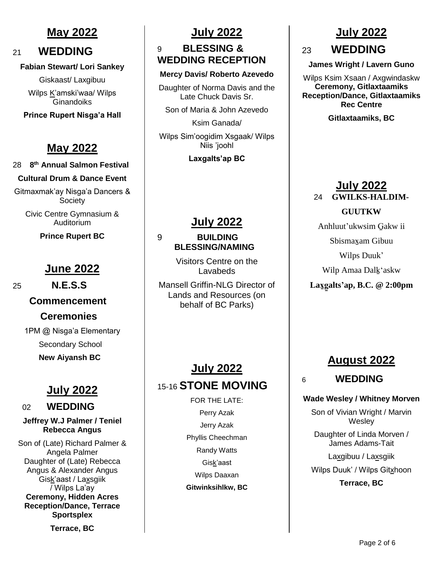### **May 2022**

### <sup>21</sup> **WEDDING**

#### **Fabian Stewart/ Lori Sankey**

Giskaast/ Laxgibuu

Wilps K'amski'waa/ Wilps **Ginandoiks** 

**Prince Rupert Nisga'a Hall**

### **May 2022**

#### 28 **8 th Annual Salmon Festival**

#### **Cultural Drum & Dance Event**

Gitmaxmak'ay Nisga'a Dancers & **Society** 

Civic Centre Gymnasium & Auditorium

**Prince Rupert BC**

### **June 2022**

 **Commencement Ceremonies** 1PM @ Nisga'a Elementary

 Secondary School  **New Aiyansh BC**

### **July 2022**

#### <sup>02</sup> **WEDDING**

**Jeffrey W.J Palmer / Teniel Rebecca Angus**

Son of (Late) Richard Palmer & Angela Palmer Daughter of (Late) Rebecca Angus & Alexander Angus Gisk'aast / Laxsgiik / Wilps La'ay **Ceremony, Hidden Acres Reception/Dance, Terrace Sportsplex**

**Terrace, BC**

### **July 2022**

### 9 **BLESSING & WEDDING RECEPTION**

#### **Mercy Davis/ Roberto Azevedo**

Daughter of Norma Davis and the Late Chuck Davis Sr.

Son of Maria & John Azevedo

Ksim Ganada/ Wilps Sim'oogidim Xsgaak/ Wilps Niis 'joohl

**Laxgalts'ap BC**

### **July 2022**

#### 9 **BUILDING BLESSING/NAMING**

Visitors Centre on the Lavabeds

Mansell Griffin-NLG Director of Lands and Resources (on behalf of BC Parks)

### **July 2022** 15-16 **STONE MOVING**

FOR THE LATE: Perry Azak Jerry Azak Phyllis Cheechman Randy Watts Gisk'aast Wilps Daaxan **Gitwinksihlkw, BC**

# **July 2022** 23 **WEDDING**

**James Wright / Lavern Guno**

Wilps Ksim Xsaan / Axgwindaskw **Ceremony, Gitlaxtaamiks Reception/Dance, Gitlaxtaamiks Rec Centre** 

**Gitlaxtaamiks, BC**

#### **July 2022** 24 **GWILKS-HALDIM-**

**GUUTKW**

Anhluut'ukwsim G̱akw ii

Sbismax̱am Gibuu

Wilps Duuk'

Wilp Amaa Dalḵ'askw

**Lax̱g̱alts'ap, B.C. @ 2:00pm** 

### **August 2022**

6 **WEDDING**

#### **Wade Wesley / Whitney Morven**

Son of Vivian Wright / Marvin **Wesley** 

Daughter of Linda Morven / James Adams-Tait

Laxgibuu / Laxsgiik

Wilps Duuk' / Wilps Gitxhoon

**Terrace, BC**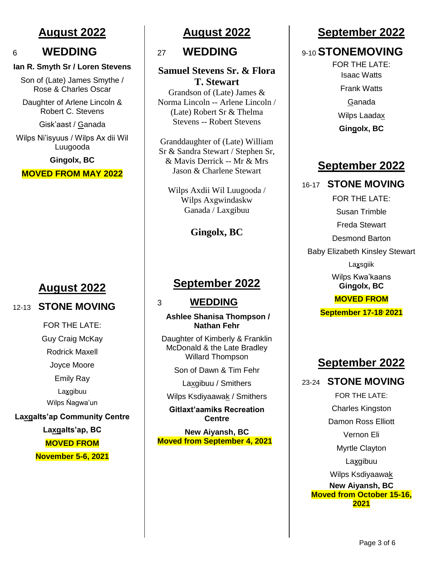### **August 2022**

#### <sup>6</sup> **WEDDING**

#### **Ian R. Smyth Sr / Loren Stevens**

Son of (Late) James Smythe / Rose & Charles Oscar

Daughter of Arlene Lincoln & Robert C. Stevens

Gisk'aast / Ganada

Wilps Ni'isyuus / Wilps Ax dii Wil Luugooda

**Gingolx, BC**

**MOVED FROM MAY 2022**

### **August 2022**

#### 12-13 **STONE MOVING**

FOR THE LATE: Guy Craig McKay Rodrick Maxell Joyce Moore Emily Ray Laxgibuu Wilps Ńagwa'un **Laxgalts'ap Community Centre Laxgalts'ap, BC MOVED FROM November 5-6, 2021**

### **August 2022**

### <sup>27</sup>**WEDDING**

#### **Samuel Stevens Sr. & Flora T. Stewart**

Grandson of (Late) James & Norma Lincoln -- Arlene Lincoln / (Late) Robert Sr & Thelma Stevens -- Robert Stevens

Granddaughter of (Late) William Sr & Sandra Stewart / Stephen Sr, & Mavis Derrick -- Mr & Mrs Jason & Charlene Stewart

Wilps Axdii Wil Luugooda / Wilps Axgwindaskw Ganada / Laxgibuu

**Gingolx, BC**

### **September 2022**

#### 3 **WEDDING**

**Ashlee Shanisa Thompson / Nathan Fehr**

Daughter of Kimberly & Franklin McDonald & the Late Bradley Willard Thompson

Son of Dawn & Tim Fehr

Laxgibuu / Smithers

Wilps Ksdiyaawak / Smithers

**Gitlaxt'aamiks Recreation Centre**

**New Aiyansh, BC Moved from September 4, 2021**

### **September 2022**

### 9-10 **STONEMOVING**

FOR THE LATE: Isaac Watts Frank Watts Ganada Wilps Laadax **Gingolx, BC**

### **September 2022**

#### 16-17 **STONE MOVING**

FOR THE LATE:

Susan Trimble

Freda Stewart

Desmond Barton

Baby Elizabeth Kinsley Stewart

Laxsgiik

Wilps Kwa'kaans **Gingolx, BC** 

#### **MOVED FROM**

**September 17-18, 2021**

### **September 2022**

#### 23-24 **STONE MOVING**

FOR THE LATE: Charles Kingston Damon Ross Elliott Vernon Eli Myrtle Clayton **Laxgibuu** Wilps Ksdiyaawak **New Aiyansh, BC Moved from October 15-16, 2021**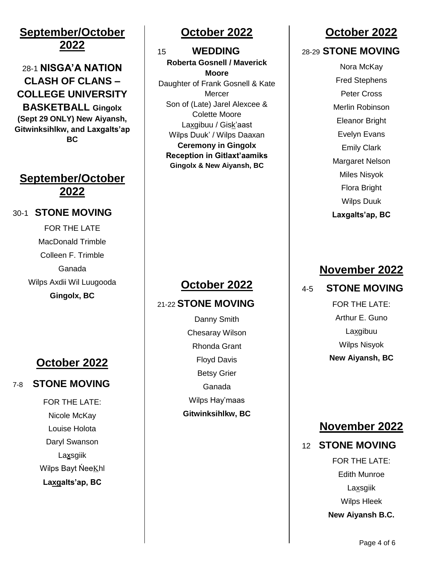### **September/October 2022**

### 28-1 **NISGA'A NATION CLASH OF CLANS – COLLEGE UNIVERSITY BASKETBALL Gingolx**

**(Sept 29 ONLY) New Aiyansh, Gitwinksihlkw, and Laxgalts'ap BC**

### **September/October 2022**

#### 30-1 **STONE MOVING**

FOR THE LATE MacDonald Trimble Colleen F. Trimble Ganada Wilps Axdii Wil Luugooda **Gingolx, BC**

### **October 2022**

### 7-8 **STONE MOVING**

FOR THE LATE: Nicole McKay Louise Holota Daryl Swanson Laxsgiik Wilps Bayt NeeKhl **Laxgalts'ap, BC**

### **October 2022**

15 **WEDDING Roberta Gosnell / Maverick Moore** Daughter of Frank Gosnell & Kate **Mercer** Son of (Late) Jarel Alexcee & Colette Moore Laxgibuu / Gisk'aast Wilps Duuk' / Wilps Daaxan **Ceremony in Gingolx Reception in Gitlaxt'aamiks Gingolx & New Aiyansh, BC**

## **October 2022**

### 21-22 **STONE MOVING**

Danny Smith Chesaray Wilson Rhonda Grant Floyd Davis Betsy Grier Ganada Wilps Hay'maas **Gitwinksihlkw, BC**

### **October 2022**

#### 28-29 **STONE MOVING**

Nora McKay Fred Stephens Peter Cross Merlin Robinson Eleanor Bright Evelyn Evans Emily Clark Margaret Nelson Miles Nisyok Flora Bright Wilps Duuk **Laxgalts'ap, BC**

### **November 2022**

### 4-5 **STONE MOVING**

FOR THE LATE: Arthur E. Guno **Laxgibuu** Wilps Nisyok **New Aiyansh, BC**

### **November 2022**

#### 12 **STONE MOVING**

FOR THE LATE: Edith Munroe **Laxsgiik** Wilps Hleek **New Aiyansh B.C.**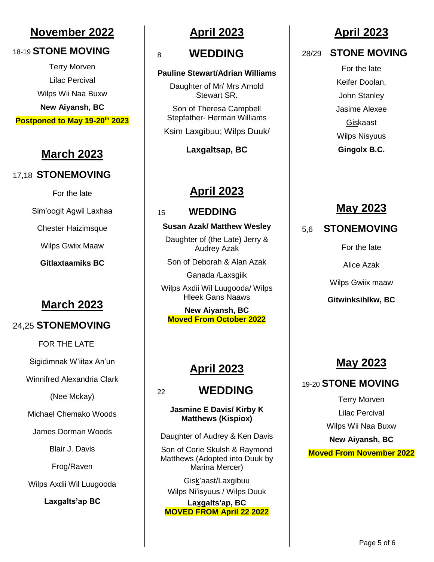### **November 2022**

#### 18-19 **STONE MOVING**

Terry Morven Lilac Percival Wilps Wii Naa Buxw **New Aiyansh, BC Postponed to May 19-20th 2023**

### **March 2023**

#### 17,18 **STONEMOVING**

For the late Sim'oogit Agwii Laxhaa Chester Haizimsque

Wilps Gwiix Maaw

**Gitlaxtaamiks BC**

### **March 2023**

#### 24,25 **STONEMOVING**

FOR THE LATE

Sigidimnak W'iitax An'un

Winnifred Alexandria Clark

(Nee Mckay)

Michael Chemako Woods

James Dorman Woods

Blair J. Davis

Frog/Raven

Wilps Axdii Wil Luugooda

**Laxgalts'ap BC**

### **April 2023**

### <sup>8</sup>**WEDDING**

#### **Pauline Stewart/Adrian Williams**

Daughter of Mr/ Mrs Arnold Stewart SR.

Son of Theresa Campbell Stepfather- Herman Williams

Ksim Laxgibuu; Wilps Duuk/

**Laxgaltsap, BC**

### **April 2023**

### 15 **WEDDING**

#### **Susan Azak/ Matthew Wesley**

Daughter of (the Late) Jerry & Audrey Azak

Son of Deborah & Alan Azak

Ganada /Laxsgiik

Wilps Axdii Wil Luugooda/ Wilps Hleek Gans Naaws

**New Aiyansh, BC Moved From October 2022**

### **April 2023**

#### <sup>22</sup>**WEDDING**

**Jasmine E Davis/ Kirby K Matthews (Kispiox)**

Daughter of Audrey & Ken Davis

Son of Corie Skulsh & Raymond Matthews (Adopted into Duuk by Marina Mercer)

Gisḵ'aast/Laxgibuu Wilps Ni'isyuus / Wilps Duuk

Laxgalts'ap, BC **MOVED FROM April 22 2022**

### **April 2023**

#### 28/29 **STONE MOVING**

For the late Keifer Doolan, John Stanley Jasime Alexee Giskaast Wilps Nisyuus **Gingolx B.C.**

### **May 2023**

5,6 **STONEMOVING**

For the late

Alice Azak

Wilps Gwiix maaw

**Gitwinksihlkw, BC**

## **May 2023**

### 19-20 **STONE MOVING**

Terry Morven Lilac Percival Wilps Wii Naa Buxw **New Aiyansh, BC Moved From November 2022**